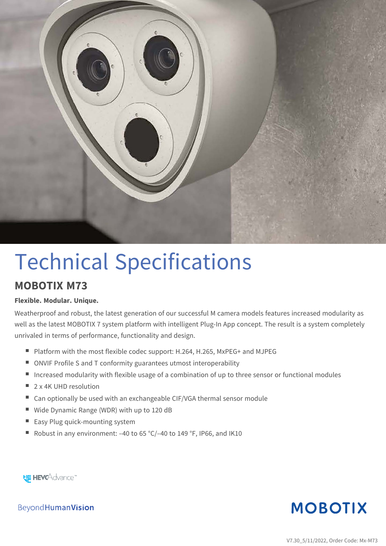

# Technical Specifications

#### **MOBOTIX M73**

#### **Flexible. Modular. Unique.**

Weatherproof and robust, the latest generation of our successful M camera models features increased modularity as well as the latest MOBOTIX 7 system platform with intelligent Plug-In App concept. The result is a system completely unrivaled in terms of performance, functionality and design.

- Platform with the most flexible codec support: H.264, H.265, MxPEG+ and MJPEG
- ONVIF Profile S and T conformity guarantees utmost interoperability
- **n** Increased modularity with flexible usage of a combination of up to three sensor or functional modules
- $\Box$  2 x 4K UHD resolution
- Can optionally be used with an exchangeable CIF/VGA thermal sensor module
- Wide Dynamic Range (WDR) with up to 120 dB
- Easy Plug quick-mounting system
- Robust in any environment:  $-40$  to 65 °C/ $-40$  to 149 °F, IP66, and IK10

**HE HEVCAdvance** 

**MOBOTIX** 

Beyond Human Vision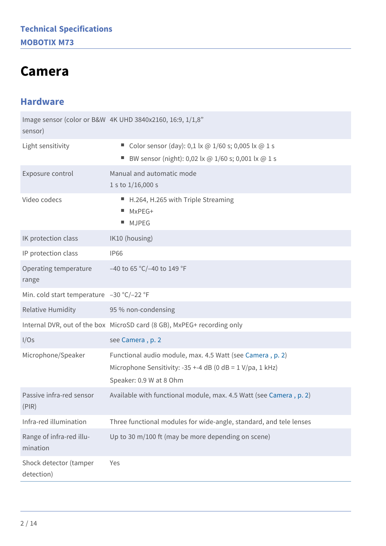### <span id="page-1-0"></span>**Camera**

#### **Hardware**

| sensor)                                   | Image sensor (color or B&W 4K UHD 3840x2160, 16:9, 1/1,8"                                                                                                    |
|-------------------------------------------|--------------------------------------------------------------------------------------------------------------------------------------------------------------|
| Light sensitivity                         | Color sensor (day): 0,1 lx @ 1/60 s; 0,005 lx @ 1 s<br>BW sensor (night): 0,02 lx @ 1/60 s; 0,001 lx @ 1 s                                                   |
| Exposure control                          | Manual and automatic mode<br>1 s to $1/16,000$ s                                                                                                             |
| Video codecs                              | ■ H.264, H.265 with Triple Streaming<br>MxPEG+<br>н.<br><b>MJPEG</b>                                                                                         |
| IK protection class                       | IK10 (housing)                                                                                                                                               |
| IP protection class                       | <b>IP66</b>                                                                                                                                                  |
| Operating temperature<br>range            | -40 to 65 °C/-40 to 149 °F                                                                                                                                   |
| Min. cold start temperature -30 °C/-22 °F |                                                                                                                                                              |
| <b>Relative Humidity</b>                  | 95 % non-condensing                                                                                                                                          |
|                                           | Internal DVR, out of the box MicroSD card (8 GB), MxPEG+ recording only                                                                                      |
| I/Os                                      | see Camera, p. 2                                                                                                                                             |
| Microphone/Speaker                        | Functional audio module, max. 4.5 Watt (see Camera, p. 2)<br>Microphone Sensitivity: -35 +-4 dB (0 dB = $1 \text{ V/pa}$ , 1 kHz)<br>Speaker: 0.9 W at 8 Ohm |
| Passive infra-red sensor<br>(PIR)         | Available with functional module, max. 4.5 Watt (see Camera, p. 2)                                                                                           |
| Infra-red illumination                    | Three functional modules for wide-angle, standard, and tele lenses                                                                                           |
| Range of infra-red illu-<br>mination      | Up to 30 m/100 ft (may be more depending on scene)                                                                                                           |
| Shock detector (tamper<br>detection)      | Yes                                                                                                                                                          |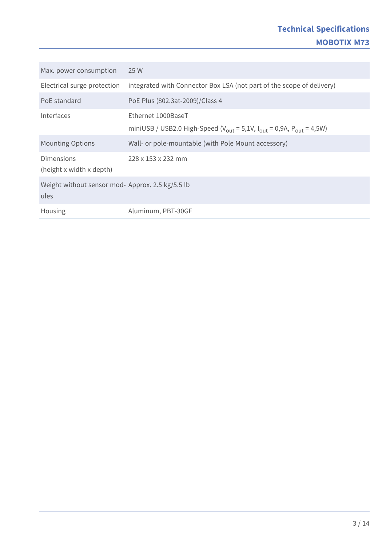| Max. power consumption                                   | 25 W                                                                                                     |
|----------------------------------------------------------|----------------------------------------------------------------------------------------------------------|
| Electrical surge protection                              | integrated with Connector Box LSA (not part of the scope of delivery)                                    |
| PoE standard                                             | PoE Plus (802.3at-2009)/Class 4                                                                          |
| Interfaces                                               | Ethernet 1000BaseT                                                                                       |
|                                                          | miniUSB / USB2.0 High-Speed ( $V_{\text{out}}$ = 5,1V, $I_{\text{out}}$ = 0,9A, $P_{\text{out}}$ = 4,5W) |
| <b>Mounting Options</b>                                  | Wall- or pole-mountable (with Pole Mount accessory)                                                      |
| Dimensions<br>(height x width x depth)                   | 228 x 153 x 232 mm                                                                                       |
| Weight without sensor mod- Approx. 2.5 kg/5.5 lb<br>ules |                                                                                                          |
| Housing                                                  | Aluminum, PBT-30GF                                                                                       |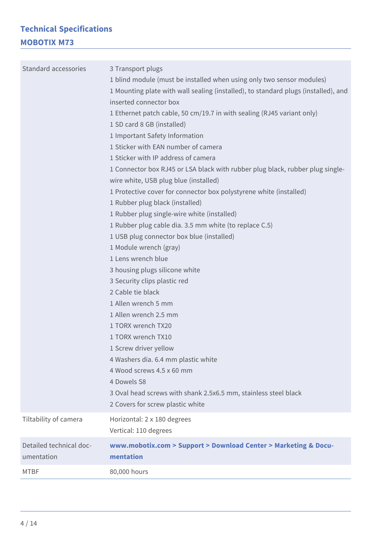#### **Technical Specifications MOBOTIX M73**

| Standard accessories                  | 3 Transport plugs<br>1 blind module (must be installed when using only two sensor modules)<br>1 Mounting plate with wall sealing (installed), to standard plugs (installed), and<br>inserted connector box<br>1 Ethernet patch cable, 50 cm/19.7 in with sealing (RJ45 variant only)<br>1 SD card 8 GB (installed)<br>1 Important Safety Information<br>1 Sticker with EAN number of camera<br>1 Sticker with IP address of camera<br>1 Connector box RJ45 or LSA black with rubber plug black, rubber plug single-<br>wire white, USB plug blue (installed)<br>1 Protective cover for connector box polystyrene white (installed)<br>1 Rubber plug black (installed)<br>1 Rubber plug single-wire white (installed)<br>1 Rubber plug cable dia. 3.5 mm white (to replace C.5)<br>1 USB plug connector box blue (installed)<br>1 Module wrench (gray)<br>1 Lens wrench blue<br>3 housing plugs silicone white<br>3 Security clips plastic red<br>2 Cable tie black<br>1 Allen wrench 5 mm<br>1 Allen wrench 2.5 mm<br>1 TORX wrench TX20<br>1 TORX wrench TX10<br>1 Screw driver yellow<br>4 Washers dia. 6.4 mm plastic white<br>4 Wood screws 4.5 x 60 mm<br>4 Dowels S8<br>3 Oval head screws with shank 2.5x6.5 mm, stainless steel black<br>2 Covers for screw plastic white |
|---------------------------------------|-----------------------------------------------------------------------------------------------------------------------------------------------------------------------------------------------------------------------------------------------------------------------------------------------------------------------------------------------------------------------------------------------------------------------------------------------------------------------------------------------------------------------------------------------------------------------------------------------------------------------------------------------------------------------------------------------------------------------------------------------------------------------------------------------------------------------------------------------------------------------------------------------------------------------------------------------------------------------------------------------------------------------------------------------------------------------------------------------------------------------------------------------------------------------------------------------------------------------------------------------------------------------------------|
| Tiltability of camera                 | Horizontal: 2 x 180 degrees<br>Vertical: 110 degrees                                                                                                                                                                                                                                                                                                                                                                                                                                                                                                                                                                                                                                                                                                                                                                                                                                                                                                                                                                                                                                                                                                                                                                                                                              |
| Detailed technical doc-<br>umentation | www.mobotix.com > Support > Download Center > Marketing & Docu-<br>mentation                                                                                                                                                                                                                                                                                                                                                                                                                                                                                                                                                                                                                                                                                                                                                                                                                                                                                                                                                                                                                                                                                                                                                                                                      |
| <b>MTBF</b>                           | 80,000 hours                                                                                                                                                                                                                                                                                                                                                                                                                                                                                                                                                                                                                                                                                                                                                                                                                                                                                                                                                                                                                                                                                                                                                                                                                                                                      |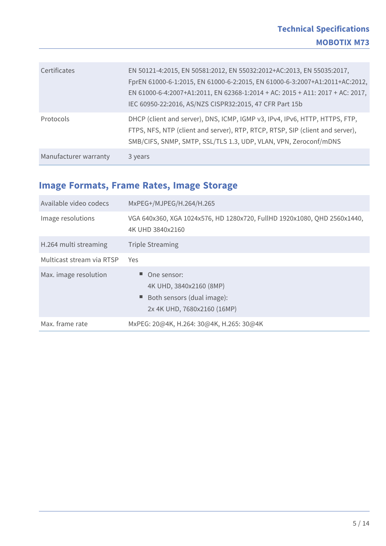| Certificates          | EN 50121-4:2015, EN 50581:2012, EN 55032:2012+AC:2013, EN 55035:2017,<br>FprEN 61000-6-1:2015, EN 61000-6-2:2015, EN 61000-6-3:2007+A1:2011+AC:2012,<br>EN 61000-6-4:2007+A1:2011, EN 62368-1:2014 + AC: 2015 + A11: 2017 + AC: 2017,<br>IEC 60950-22:2016, AS/NZS CISPR32:2015, 47 CFR Part 15b |
|-----------------------|--------------------------------------------------------------------------------------------------------------------------------------------------------------------------------------------------------------------------------------------------------------------------------------------------|
| Protocols             | DHCP (client and server), DNS, ICMP, IGMP v3, IPv4, IPv6, HTTP, HTTPS, FTP,<br>FTPS, NFS, NTP (client and server), RTP, RTCP, RTSP, SIP (client and server),<br>SMB/CIFS, SNMP, SMTP, SSL/TLS 1.3, UDP, VLAN, VPN, Zeroconf/mDNS                                                                 |
| Manufacturer warranty | 3 years                                                                                                                                                                                                                                                                                          |

#### **Image Formats, Frame Rates, Image Storage**

| Available video codecs    | MxPEG+/MJPEG/H.264/H.265                                                                            |
|---------------------------|-----------------------------------------------------------------------------------------------------|
| Image resolutions         | VGA 640x360, XGA 1024x576, HD 1280x720, FullHD 1920x1080, QHD 2560x1440,<br>4K UHD 3840x2160        |
| H.264 multi streaming     | <b>Triple Streaming</b>                                                                             |
| Multicast stream via RTSP | Yes.                                                                                                |
| Max. image resolution     | One sensor:<br>4K UHD, 3840x2160 (8MP)<br>Both sensors (dual image):<br>2x 4K UHD, 7680x2160 (16MP) |
| Max. frame rate           | MxPEG: 20@4K, H.264: 30@4K, H.265: 30@4K                                                            |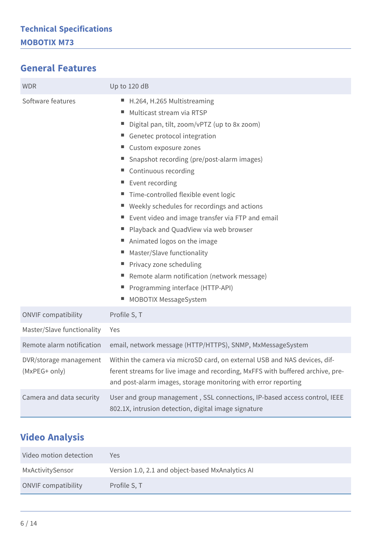#### **General Features**

| <b>WDR</b>                              | Up to 120 dB                                                                                                                                                                                                                                                                                                                                                                                                                                                                                                                                                                                                                                                                |
|-----------------------------------------|-----------------------------------------------------------------------------------------------------------------------------------------------------------------------------------------------------------------------------------------------------------------------------------------------------------------------------------------------------------------------------------------------------------------------------------------------------------------------------------------------------------------------------------------------------------------------------------------------------------------------------------------------------------------------------|
| Software features                       | H.264, H.265 Multistreaming<br>н,<br>Multicast stream via RTSP<br>н,<br>Digital pan, tilt, zoom/vPTZ (up to 8x zoom)<br>Genetec protocol integration<br>■ Custom exposure zones<br>Snapshot recording (pre/post-alarm images)<br>■ Continuous recording<br>Event recording<br>Time-controlled flexible event logic<br>ш<br>■ Weekly schedules for recordings and actions<br>Event video and image transfer via FTP and email<br>Playback and QuadView via web browser<br>Animated logos on the image<br>Master/Slave functionality<br>■ Privacy zone scheduling<br>Remote alarm notification (network message)<br>Programming interface (HTTP-API)<br>MOBOTIX MessageSystem |
| <b>ONVIF compatibility</b>              | Profile S, T                                                                                                                                                                                                                                                                                                                                                                                                                                                                                                                                                                                                                                                                |
| Master/Slave functionality              | Yes                                                                                                                                                                                                                                                                                                                                                                                                                                                                                                                                                                                                                                                                         |
| Remote alarm notification               | email, network message (HTTP/HTTPS), SNMP, MxMessageSystem                                                                                                                                                                                                                                                                                                                                                                                                                                                                                                                                                                                                                  |
| DVR/storage management<br>(MxPEG+ only) | Within the camera via microSD card, on external USB and NAS devices, dif-<br>ferent streams for live image and recording, MxFFS with buffered archive, pre-<br>and post-alarm images, storage monitoring with error reporting                                                                                                                                                                                                                                                                                                                                                                                                                                               |
| Camera and data security                | User and group management, SSL connections, IP-based access control, IEEE<br>802.1X, intrusion detection, digital image signature                                                                                                                                                                                                                                                                                                                                                                                                                                                                                                                                           |

#### **Video Analysis**

| Video motion detection     | Yes.                                             |
|----------------------------|--------------------------------------------------|
| MxActivitySensor           | Version 1.0, 2.1 and object-based MxAnalytics AI |
| <b>ONVIF compatibility</b> | Profile S, T                                     |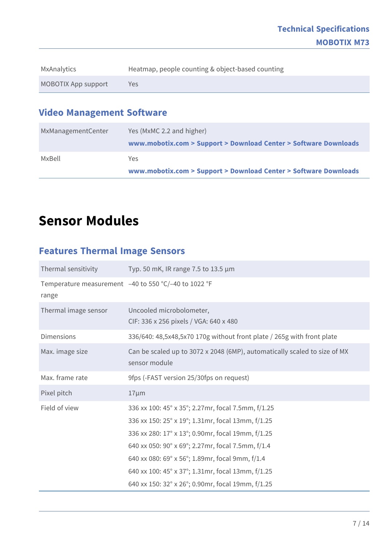| MxAnalytics         | Heatmap, people counting & object-based counting |
|---------------------|--------------------------------------------------|
| MOBOTIX App support | Yes                                              |

#### **Video Management Software**

| MxManagementCenter | Yes (MxMC 2.2 and higher)                                        |
|--------------------|------------------------------------------------------------------|
|                    | www.mobotix.com > Support > Download Center > Software Downloads |
| MxBell             | Yes.                                                             |
|                    | www.mobotix.com > Support > Download Center > Software Downloads |

### **Sensor Modules**

#### **Features Thermal Image Sensors**

| Thermal sensitivity  | Typ. 50 mK, IR range 7.5 to 13.5 μm                                                                                                                                                                                                                                                                                                                                            |
|----------------------|--------------------------------------------------------------------------------------------------------------------------------------------------------------------------------------------------------------------------------------------------------------------------------------------------------------------------------------------------------------------------------|
| range                | Temperature measurement -40 to 550 °C/-40 to 1022 °F                                                                                                                                                                                                                                                                                                                           |
| Thermal image sensor | Uncooled microbolometer,<br>CIF: 336 x 256 pixels / VGA: 640 x 480                                                                                                                                                                                                                                                                                                             |
| <b>Dimensions</b>    | 336/640: 48,5x48,5x70 170g without front plate / 265g with front plate                                                                                                                                                                                                                                                                                                         |
| Max. image size      | Can be scaled up to 3072 x 2048 (6MP), automatically scaled to size of MX<br>sensor module                                                                                                                                                                                                                                                                                     |
| Max. frame rate      | 9fps (-FAST version 25/30fps on request)                                                                                                                                                                                                                                                                                                                                       |
| Pixel pitch          | $17 \mu m$                                                                                                                                                                                                                                                                                                                                                                     |
| Field of view        | 336 xx 100: 45° x 35°; 2.27mr, focal 7.5mm, f/1.25<br>336 xx 150: 25° x 19°; 1.31mr, focal 13mm, f/1.25<br>336 xx 280: 17° x 13°; 0.90mr, focal 19mm, f/1.25<br>640 xx 050: 90° x 69°; 2.27mr, focal 7.5mm, f/1.4<br>640 xx 080: 69° x 56°; 1.89mr, focal 9mm, f/1.4<br>640 xx 100: 45° x 37°; 1.31mr, focal 13mm, f/1.25<br>640 xx 150: 32° x 26°; 0.90mr, focal 19mm, f/1.25 |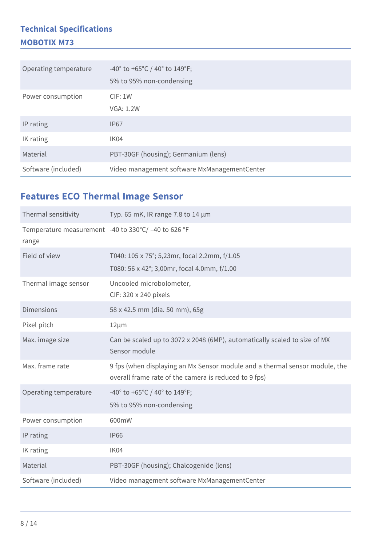#### **Technical Specifications MOBOTIX M73**

| Operating temperature | -40° to +65°C / 40° to 149°F;<br>5% to 95% non-condensing |
|-----------------------|-----------------------------------------------------------|
| Power consumption     | CIF: 1W<br><b>VGA: 1.2W</b>                               |
| IP rating             | <b>IP67</b>                                               |
| IK rating             | IK04                                                      |
| Material              | PBT-30GF (housing); Germanium (lens)                      |
| Software (included)   | Video management software MxManagementCenter              |

#### **Features ECO Thermal Image Sensor**

| Thermal sensitivity                                         | Typ. 65 mK, IR range 7.8 to 14 $\mu$ m                                                                                               |
|-------------------------------------------------------------|--------------------------------------------------------------------------------------------------------------------------------------|
| Temperature measurement -40 to 330°C/-40 to 626 °F<br>range |                                                                                                                                      |
| Field of view                                               | T040: 105 x 75°; 5,23mr, focal 2.2mm, f/1.05<br>T080: 56 x 42°; 3,00mr, focal 4.0mm, f/1.00                                          |
| Thermal image sensor                                        | Uncooled microbolometer,<br>CIF: 320 x 240 pixels                                                                                    |
| <b>Dimensions</b>                                           | 58 x 42.5 mm (dia. 50 mm), 65g                                                                                                       |
| Pixel pitch                                                 | $12 \mu m$                                                                                                                           |
| Max. image size                                             | Can be scaled up to 3072 x 2048 (6MP), automatically scaled to size of MX<br>Sensor module                                           |
| Max. frame rate                                             | 9 fps (when displaying an Mx Sensor module and a thermal sensor module, the<br>overall frame rate of the camera is reduced to 9 fps) |
| Operating temperature                                       | -40° to +65°C / 40° to 149°F;<br>5% to 95% non-condensing                                                                            |
| Power consumption                                           | 600mW                                                                                                                                |
| IP rating                                                   | <b>IP66</b>                                                                                                                          |
| IK rating                                                   | IK04                                                                                                                                 |
| Material                                                    | PBT-30GF (housing); Chalcogenide (lens)                                                                                              |
| Software (included)                                         | Video management software MxManagementCenter                                                                                         |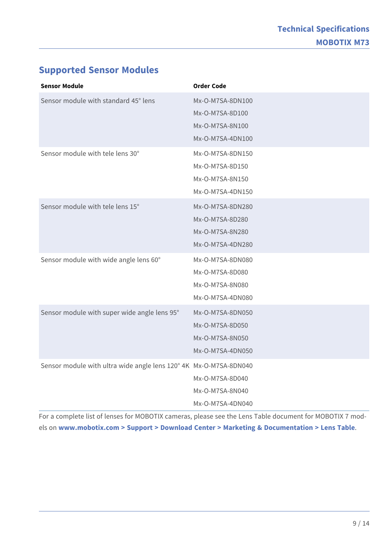#### **Supported Sensor Modules**

| <b>Sensor Module</b>                                              | <b>Order Code</b>                                                          |
|-------------------------------------------------------------------|----------------------------------------------------------------------------|
| Sensor module with standard 45° lens                              | Mx-O-M7SA-8DN100<br>Mx-O-M7SA-8D100<br>Mx-O-M7SA-8N100<br>Mx-O-M7SA-4DN100 |
| Sensor module with tele lens 30°                                  | Mx-O-M7SA-8DN150<br>Mx-O-M7SA-8D150<br>Mx-O-M7SA-8N150<br>Mx-O-M7SA-4DN150 |
| Sensor module with tele lens 15°                                  | Mx-O-M7SA-8DN280<br>Mx-O-M7SA-8D280<br>Mx-O-M7SA-8N280<br>Mx-O-M7SA-4DN280 |
| Sensor module with wide angle lens 60°                            | Mx-O-M7SA-8DN080<br>Mx-O-M7SA-8D080<br>Mx-O-M7SA-8N080<br>Mx-O-M7SA-4DN080 |
| Sensor module with super wide angle lens 95°                      | Mx-O-M7SA-8DN050<br>Mx-O-M7SA-8D050<br>Mx-O-M7SA-8N050<br>Mx-O-M7SA-4DN050 |
| Sensor module with ultra wide angle lens 120° 4K Mx-O-M7SA-8DN040 | Mx-O-M7SA-8D040<br>Mx-O-M7SA-8N040<br>Mx-O-M7SA-4DN040                     |

For a complete list of lenses for MOBOTIX cameras, please see the Lens Table document for MOBOTIX 7 models on **[www.mobotix.com > Support > Download Center > Marketing & Documentation > Lens Table](https://www.mobotix.com/support/download-center/documenation/lens-table)**.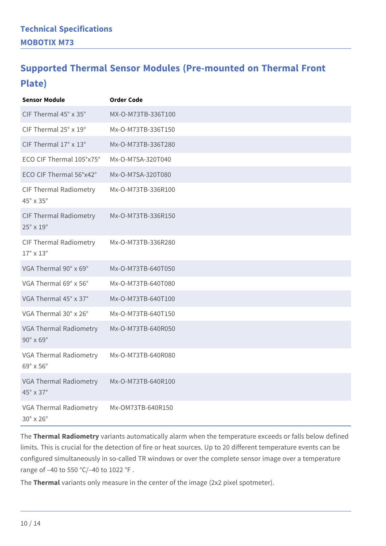### **Supported Thermal Sensor Modules (Pre-mounted on Thermal Front Plate)**

| <b>Sensor Module</b>                                        | <b>Order Code</b>  |
|-------------------------------------------------------------|--------------------|
| CIF Thermal 45° x 35°                                       | MX-O-M73TB-336T100 |
| CIF Thermal 25° x 19°                                       | Mx-O-M73TB-336T150 |
| CIF Thermal 17° x 13°                                       | Mx-O-M73TB-336T280 |
| ECO CIF Thermal 105°x75°                                    | Mx-O-M7SA-320T040  |
| ECO CIF Thermal 56°x42°                                     | Mx-O-M7SA-320T080  |
| <b>CIF Thermal Radiometry</b><br>45° x 35°                  | Mx-O-M73TB-336R100 |
| <b>CIF Thermal Radiometry</b><br>$25^\circ \times 19^\circ$ | Mx-O-M73TB-336R150 |
| CIF Thermal Radiometry<br>$17^\circ \times 13^\circ$        | Mx-O-M73TB-336R280 |
| VGA Thermal 90° x 69°                                       | Mx-O-M73TB-640T050 |
| VGA Thermal 69° x 56°                                       | Mx-O-M73TB-640T080 |
| VGA Thermal 45° x 37°                                       | Mx-O-M73TB-640T100 |
| VGA Thermal 30° x 26°                                       | Mx-O-M73TB-640T150 |
| VGA Thermal Radiometry<br>$90^\circ \times 69^\circ$        | Mx-O-M73TB-640R050 |
| VGA Thermal Radiometry<br>69° x 56°                         | Mx-O-M73TB-640R080 |
| VGA Thermal Radiometry<br>45° x 37°                         | Mx-O-M73TB-640R100 |
| VGA Thermal Radiometry<br>$30^\circ \times 26^\circ$        | Mx-OM73TB-640R150  |

The **Thermal Radiometry** variants automatically alarm when the temperature exceeds or falls below defined limits. This is crucial for the detection of fire or heat sources. Up to 20 different temperature events can be configured simultaneously in so-called TR windows or over the complete sensor image over a temperature range of –40 to 550 °C/–40 to 1022 °F .

The **Thermal** variants only measure in the center of the image (2x2 pixel spotmeter).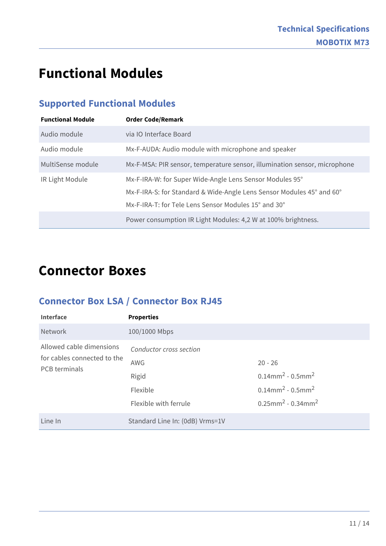### **Functional Modules**

#### **Supported Functional Modules**

| <b>Functional Module</b> | <b>Order Code/Remark</b>                                                                                                                                                                  |
|--------------------------|-------------------------------------------------------------------------------------------------------------------------------------------------------------------------------------------|
| Audio module             | via IO Interface Board                                                                                                                                                                    |
| Audio module             | Mx-F-AUDA: Audio module with microphone and speaker                                                                                                                                       |
| MultiSense module        | Mx-F-MSA: PIR sensor, temperature sensor, illumination sensor, microphone                                                                                                                 |
| IR Light Module          | Mx-F-IRA-W: for Super Wide-Angle Lens Sensor Modules 95°<br>Mx-F-IRA-S: for Standard & Wide-Angle Lens Sensor Modules 45° and 60°<br>Mx-F-IRA-T: for Tele Lens Sensor Modules 15° and 30° |
|                          | Power consumption IR Light Modules: 4,2 W at 100% brightness.                                                                                                                             |

### **Connector Boxes**

#### **Connector Box LSA / Connector Box RJ45**

| Interface                                                                       | <b>Properties</b>               |                                                |
|---------------------------------------------------------------------------------|---------------------------------|------------------------------------------------|
| <b>Network</b>                                                                  | 100/1000 Mbps                   |                                                |
| Allowed cable dimensions<br>for cables connected to the<br><b>PCB</b> terminals | Conductor cross section         |                                                |
|                                                                                 | AWG                             | $20 - 26$                                      |
|                                                                                 | Rigid                           | $0.14$ mm <sup>2</sup> - $0.5$ mm <sup>2</sup> |
|                                                                                 | Flexible                        | $0.14$ mm <sup>2</sup> - $0.5$ mm <sup>2</sup> |
|                                                                                 | Flexible with ferrule           | $0.25$ mm <sup>2</sup> - 0.34mm <sup>2</sup>   |
| Line In                                                                         | Standard Line In: (0dB) Vrms=1V |                                                |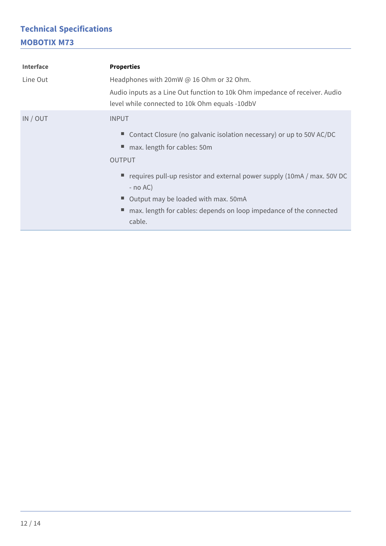#### **Technical Specifications MOBOTIX M73**

| <b>Interface</b> | <b>Properties</b>                                                                                                             |  |
|------------------|-------------------------------------------------------------------------------------------------------------------------------|--|
| Line Out         | Headphones with 20mW @ 16 Ohm or 32 Ohm.                                                                                      |  |
|                  | Audio inputs as a Line Out function to 10k Ohm impedance of receiver. Audio<br>level while connected to 10k Ohm equals -10dbV |  |
| IN / OUT         | <b>INPUT</b>                                                                                                                  |  |
|                  | Contact Closure (no galvanic isolation necessary) or up to 50V AC/DC                                                          |  |
|                  | max. length for cables: 50m                                                                                                   |  |
|                  | <b>OUTPUT</b>                                                                                                                 |  |
|                  | $\blacksquare$ requires pull-up resistor and external power supply (10mA / max. 50V DC<br>$-$ no AC)                          |  |
|                  | Output may be loaded with max. 50mA                                                                                           |  |
|                  | max. length for cables: depends on loop impedance of the connected                                                            |  |
|                  | cable.                                                                                                                        |  |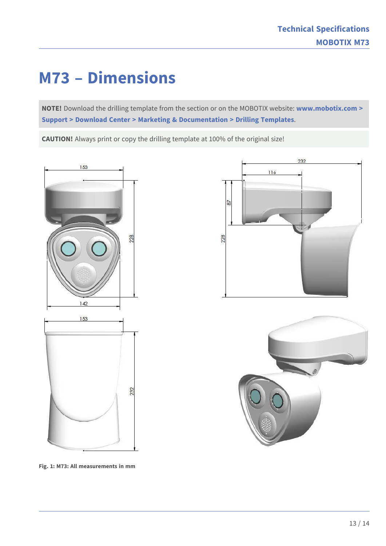## **M73 – Dimensions**

**NOTE!** Download the drilling template from the section or on the MOBOTIX website: **[www.mobotix.com >](https://www.mobotix.com/drilling-templates)  [Support > Download Center > Marketing & Documentation > Drilling Templates](https://www.mobotix.com/drilling-templates)**.

**CAUTION!** Always print or copy the drilling template at 100% of the original size!



**Fig. 1: M73: All measurements in mm**